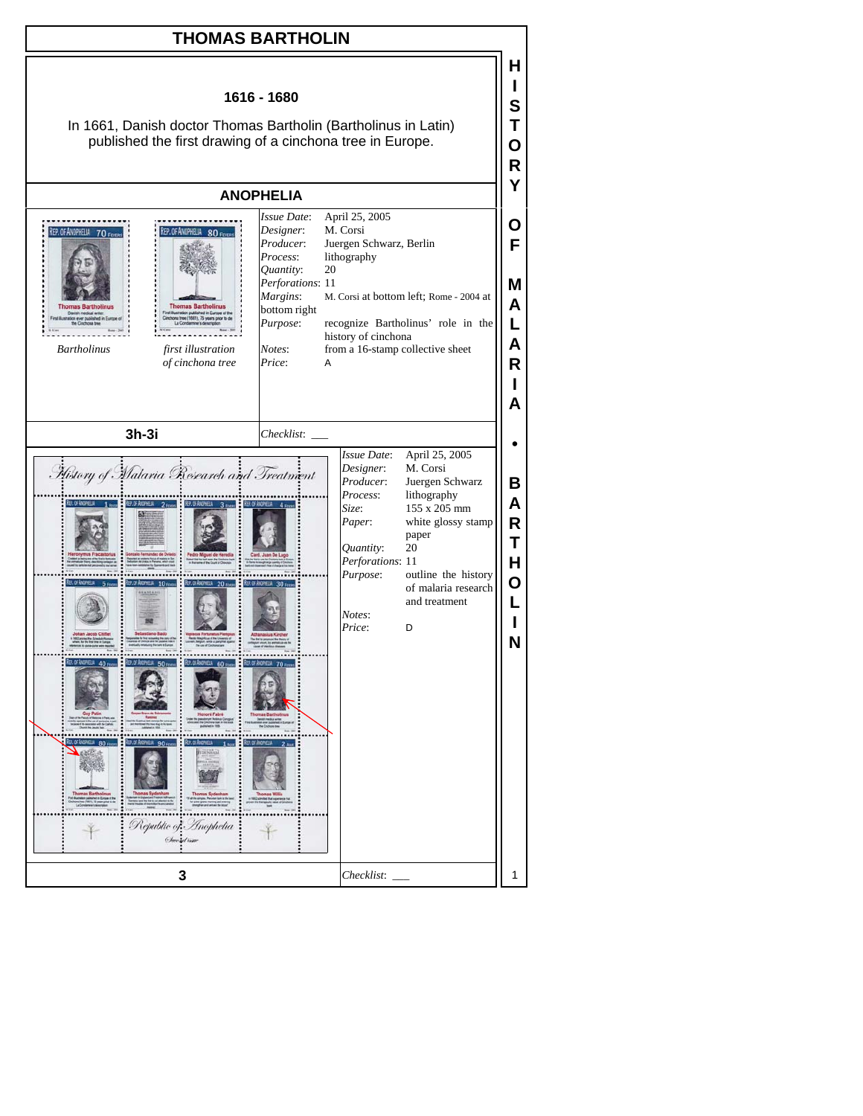